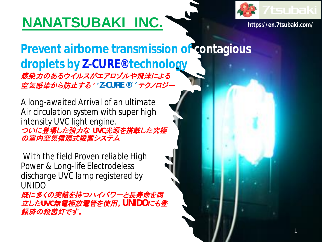# **NANATSUBAKI INC. https://en.7tsubaki.com/**



1

**Prevent airborne transmission of contagious droplets by Z-CURE® technology** 感染力のあるウイルスがエアロゾルや飛沫による 空気感染から防止する ''*Z-CURE ®*''テクノロジー

*A long-awaited Arrival of an ultimate Air circulation system with super high intensity UVC light engine.* ついに登場した強力な *UVC*光源を搭載した究極 の室内空気循環式殺菌システム

*With the field Proven reliable High Power & Long-life Electrodeless discharge UVC lamp registered by UNIDO* 既に多くの実績を持つハイパワーと長寿命を両 立した*UVC*無電極放電管を使用。*UNIDO*にも登

録済の殺菌灯です。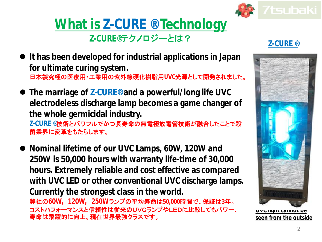

### **What is Z-CURE ® Technology Z-CURE®**テクノロジーとは?

#### **Z-CURE ®**

- **It has been developed for industrial applications in Japan for ultimate curing system.** 日本製究極の医療用・工業用の紫外線硬化樹脂用**UVC**光源として開発されました。
- **The marriage of Z-CURE® and a powerful/long life UVC electrodeless discharge lamp becomes a game changer of the whole germicidal industry. Z-CURE ®**技術とパワフルでかつ長寿命の無電極放電管技術が融合したことで殺 菌業界に変革をもたらします。
- **Nominal lifetime of our UVC Lamps, 60W, 120W and 250W is 50,000 hours with warranty life-time of 30,000 hours. Extremely reliable and cost effective as compared with UVC LED or other conventional UVC discharge lamps. Currently the strongest class in the world.** 弊社の**60W, 120W, 250W**ランプの平均寿命は**50,000**時間で、保証は**3**年。 コストパフォーマンスと信頼性は従来のUVCランプやLEDに比較してもパワー、 寿命は飛躍的に向上。現在世界最強クラスです。



**UVC light cannot be seen from the outside**